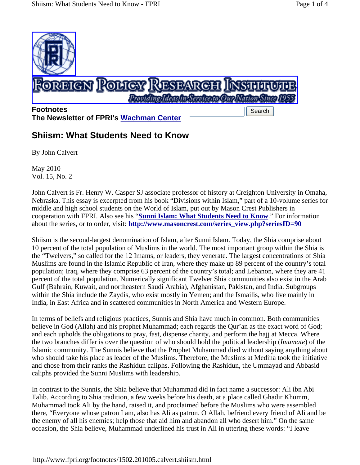

**Footnotes The Newsletter of FPRI's Wachman Center** Search

## **Shiism: What Students Need to Know**

By John Calvert

May 2010 Vol. 15, No. 2

John Calvert is Fr. Henry W. Casper SJ associate professor of history at Creighton University in Omaha, Nebraska. This essay is excerpted from his book "Divisions within Islam," part of a 10-volume series for middle and high school students on the World of Islam, put out by Mason Crest Publishers in cooperation with FPRI. Also see his "**Sunni Islam: What Students Need to Know**." For information about the series, or to order, visit: **http://www.masoncrest.com/series\_view.php?seriesID=90**

Shiism is the second-largest denomination of Islam, after Sunni Islam. Today, the Shia comprise about 10 percent of the total population of Muslims in the world. The most important group within the Shia is the "Twelvers," so called for the 12 Imams, or leaders, they venerate. The largest concentrations of Shia Muslims are found in the Islamic Republic of Iran, where they make up 89 percent of the country's total population; Iraq, where they comprise 63 percent of the country's total; and Lebanon, where they are 41 percent of the total population. Numerically significant Twelver Shia communities also exist in the Arab Gulf (Bahrain, Kuwait, and northeastern Saudi Arabia), Afghanistan, Pakistan, and India. Subgroups within the Shia include the Zaydis, who exist mostly in Yemen; and the Ismailis, who live mainly in India, in East Africa and in scattered communities in North America and Western Europe.

In terms of beliefs and religious practices, Sunnis and Shia have much in common. Both communities believe in God (Allah) and his prophet Muhammad; each regards the Qur'an as the exact word of God; and each upholds the obligations to pray, fast, dispense charity, and perform the hajj at Mecca. Where the two branches differ is over the question of who should hold the political leadership (*Imamate*) of the Islamic community. The Sunnis believe that the Prophet Muhammad died without saying anything about who should take his place as leader of the Muslims. Therefore, the Muslims at Medina took the initiative and chose from their ranks the Rashidun caliphs. Following the Rashidun, the Ummayad and Abbasid caliphs provided the Sunni Muslims with leadership.

In contrast to the Sunnis, the Shia believe that Muhammad did in fact name a successor: Ali ibn Abi Talib. According to Shia tradition, a few weeks before his death, at a place called Ghadir Khumm, Muhammad took Ali by the hand, raised it, and proclaimed before the Muslims who were assembled there, "Everyone whose patron I am, also has Ali as patron. O Allah, befriend every friend of Ali and be the enemy of all his enemies; help those that aid him and abandon all who desert him." On the same occasion, the Shia believe, Muhammad underlined his trust in Ali in uttering these words: "I leave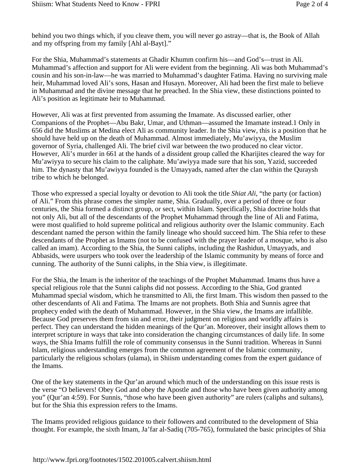behind you two things which, if you cleave them, you will never go astray—that is, the Book of Allah and my offspring from my family [Ahl al-Bayt]."

For the Shia, Muhammad's statements at Ghadir Khumm confirm his—and God's—trust in Ali. Muhammad's affection and support for Ali were evident from the beginning. Ali was both Muhammad's cousin and his son-in-law—he was married to Muhammad's daughter Fatima. Having no surviving male heir, Muhammad loved Ali's sons, Hasan and Husayn. Moreover, Ali had been the first male to believe in Muhammad and the divine message that he preached. In the Shia view, these distinctions pointed to Ali's position as legitimate heir to Muhammad.

However, Ali was at first prevented from assuming the Imamate. As discussed earlier, other Companions of the Prophet—Abu Bakr, Umar, and Uthman—assumed the Imamate instead.1 Only in 656 did the Muslims at Medina elect Ali as community leader. In the Shia view, this is a position that he should have held up on the death of Muhammad. Almost immediately, Mu'awiyya, the Muslim governor of Syria, challenged Ali. The brief civil war between the two produced no clear victor. However, Ali's murder in 661 at the hands of a dissident group called the Kharijites cleared the way for Mu'awiyya to secure his claim to the caliphate. Mu'awiyya made sure that his son, Yazid, succeeded him. The dynasty that Mu'awiyya founded is the Umayyads, named after the clan within the Quraysh tribe to which he belonged.

Those who expressed a special loyalty or devotion to Ali took the title *Shiat Ali*, "the party (or faction) of Ali." From this phrase comes the simpler name, Shia. Gradually, over a period of three or four centuries, the Shia formed a distinct group, or sect, within Islam. Specifically, Shia doctrine holds that not only Ali, but all of the descendants of the Prophet Muhammad through the line of Ali and Fatima, were most qualified to hold supreme political and religious authority over the Islamic community. Each descendant named the person within the family lineage who should succeed him. The Shia refer to these descendants of the Prophet as Imams (not to be confused with the prayer leader of a mosque, who is also called an imam). According to the Shia, the Sunni caliphs, including the Rashidun, Umayyads, and Abbasids, were usurpers who took over the leadership of the Islamic community by means of force and cunning. The authority of the Sunni caliphs, in the Shia view, is illegitimate.

For the Shia, the Imam is the inheritor of the teachings of the Prophet Muhammad. Imams thus have a special religious role that the Sunni caliphs did not possess. According to the Shia, God granted Muhammad special wisdom, which he transmitted to Ali, the first Imam. This wisdom then passed to the other descendants of Ali and Fatima. The Imams are not prophets. Both Shia and Sunnis agree that prophecy ended with the death of Muhammad. However, in the Shia view, the Imams are infallible. Because God preserves them from sin and error, their judgment on religious and worldly affairs is perfect. They can understand the hidden meanings of the Qur'an. Moreover, their insight allows them to interpret scripture in ways that take into consideration the changing circumstances of daily life. In some ways, the Shia Imams fulfill the role of community consensus in the Sunni tradition. Whereas in Sunni Islam, religious understanding emerges from the common agreement of the Islamic community, particularly the religious scholars (ulama), in Shiism understanding comes from the expert guidance of the Imams.

One of the key statements in the Qur'an around which much of the understanding on this issue rests is the verse "O believers! Obey God and obey the Apostle and those who have been given authority among you" (Qur'an 4:59). For Sunnis, "those who have been given authority" are rulers (caliphs and sultans), but for the Shia this expression refers to the Imams.

The Imams provided religious guidance to their followers and contributed to the development of Shia thought. For example, the sixth Imam, Ja'far al-Sadiq (705-765), formulated the basic principles of Shia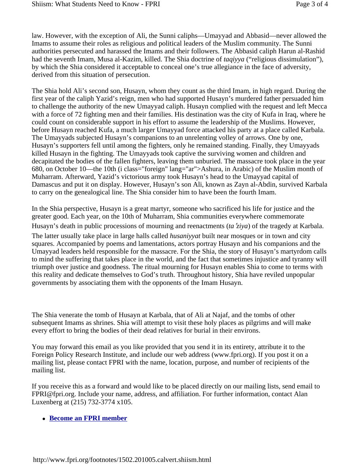law. However, with the exception of Ali, the Sunni caliphs—Umayyad and Abbasid—never allowed the Imams to assume their roles as religious and political leaders of the Muslim community. The Sunni authorities persecuted and harassed the Imams and their followers. The Abbasid caliph Harun al-Rashid had the seventh Imam, Musa al-Kazim, killed. The Shia doctrine of *taqiyya* ("religious dissimulation"), by which the Shia considered it acceptable to conceal one's true allegiance in the face of adversity, derived from this situation of persecution.

The Shia hold Ali's second son, Husayn, whom they count as the third Imam, in high regard. During the first year of the caliph Yazid's reign, men who had supported Husayn's murdered father persuaded him to challenge the authority of the new Umayyad caliph. Husayn complied with the request and left Mecca with a force of 72 fighting men and their families. His destination was the city of Kufa in Iraq, where he could count on considerable support in his effort to assume the leadership of the Muslims. However, before Husayn reached Kufa, a much larger Umayyad force attacked his party at a place called Karbala. The Umayyads subjected Husayn's companions to an unrelenting volley of arrows. One by one, Husayn's supporters fell until among the fighters, only he remained standing. Finally, they Umayyads killed Husayn in the fighting. The Umayyads took captive the surviving women and children and decapitated the bodies of the fallen fighters, leaving them unburied. The massacre took place in the year 680, on October 10—the 10th (i class="foreign" lang="ar">Ashura, in Arabic) of the Muslim month of Muharram. Afterward, Yazid's victorious army took Husayn's head to the Umayyad capital of Damascus and put it on display. However, Husayn's son Ali, known as Zayn al-Abdin, survived Karbala to carry on the genealogical line. The Shia consider him to have been the fourth Imam.

In the Shia perspective, Husayn is a great martyr, someone who sacrificed his life for justice and the greater good. Each year, on the 10th of Muharram, Shia communities everywhere commemorate

Husayn's death in public processions of mourning and reenactments (*ta*'*ziya*) of the tragedy at Karbala.

The latter usually take place in large halls called *husaniyyat* built near mosques or in town and city squares. Accompanied by poems and lamentations, actors portray Husayn and his companions and the Umayyad leaders held responsible for the massacre. For the Shia, the story of Husayn's martyrdom calls to mind the suffering that takes place in the world, and the fact that sometimes injustice and tyranny will triumph over justice and goodness. The ritual mourning for Husayn enables Shia to come to terms with this reality and dedicate themselves to God's truth. Throughout history, Shia have reviled unpopular governments by associating them with the opponents of the Imam Husayn.

The Shia venerate the tomb of Husayn at Karbala, that of Ali at Najaf, and the tombs of other subsequent Imams as shrines. Shia will attempt to visit these holy places as pilgrims and will make every effort to bring the bodies of their dead relatives for burial in their environs.

You may forward this email as you like provided that you send it in its entirety, attribute it to the Foreign Policy Research Institute, and include our web address (www.fpri.org). If you post it on a mailing list, please contact FPRI with the name, location, purpose, and number of recipients of the mailing list.

If you receive this as a forward and would like to be placed directly on our mailing lists, send email to FPRI@fpri.org. Include your name, address, and affiliation. For further information, contact Alan Luxenberg at (215) 732-3774 x105.

## **Become an FPRI member**